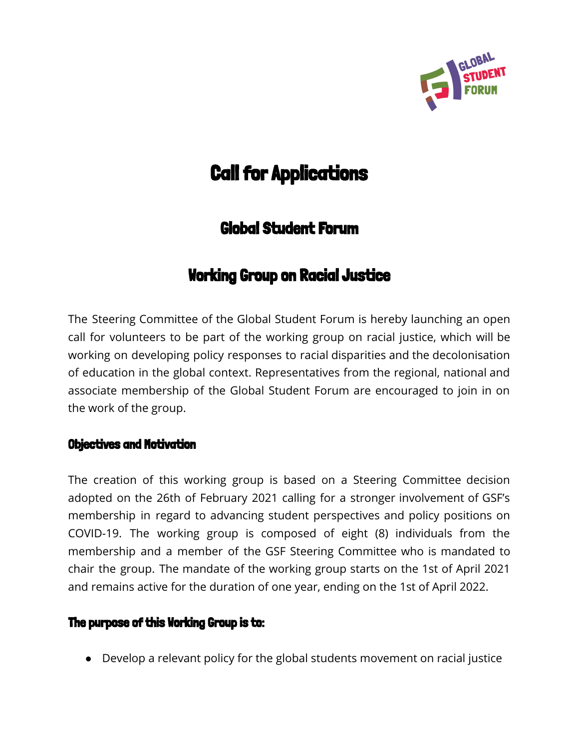

# **Call for Applications**

# Global Student Forum

## Working Group on Racial Justice

The Steering Committee of the Global Student Forum is hereby launching an open call for volunteers to be part of the working group on racial justice, which will be working on developing policy responses to racial disparities and the decolonisation of education in the global context. Representatives from the regional, national and associate membership of the Global Student Forum are encouraged to join in on the work of the group.

### Objectives and Motivation

The creation of this working group is based on a Steering Committee decision adopted on the 26th of February 2021 calling for a stronger involvement of GSF's membership in regard to advancing student perspectives and policy positions on COVID-19. The working group is composed of eight (8) individuals from the membership and a member of the GSF Steering Committee who is mandated to chair the group. The mandate of the working group starts on the 1st of April 2021 and remains active for the duration of one year, ending on the 1st of April 2022.

### **The purpose of this Working Group is to:**

● Develop a relevant policy for the global students movement on racial justice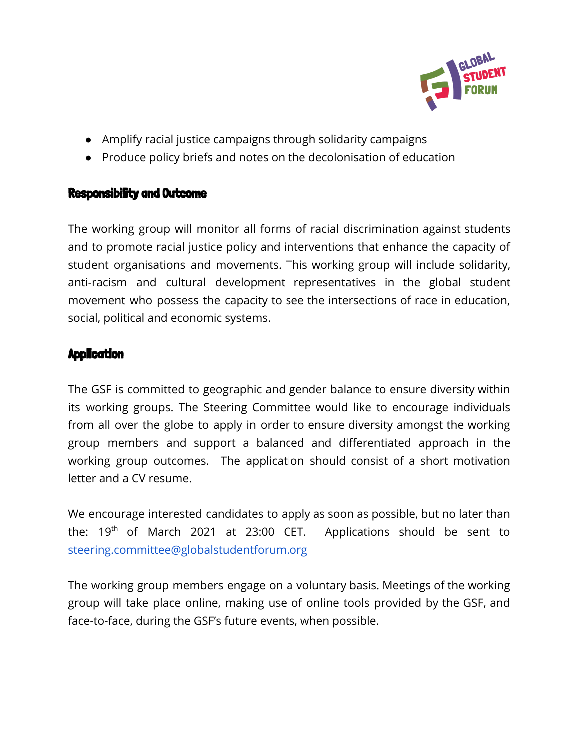

- Amplify racial justice campaigns through solidarity campaigns
- Produce policy briefs and notes on the decolonisation of education

### Responsibility and Outcome

The working group will monitor all forms of racial discrimination against students and to promote racial justice policy and interventions that enhance the capacity of student organisations and movements. This working group will include solidarity, anti-racism and cultural development representatives in the global student movement who possess the capacity to see the intersections of race in education, social, political and economic systems.

### **Application**

The GSF is committed to geographic and gender balance to ensure diversity within its working groups. The Steering Committee would like to encourage individuals from all over the globe to apply in order to ensure diversity amongst the working group members and support a balanced and differentiated approach in the working group outcomes. The application should consist of a short motivation letter and a CV resume.

We encourage interested candidates to apply as soon as possible, but no later than the:  $19<sup>th</sup>$  of March 2021 at 23:00 CET. Applications should be sent to steering.committee@globalstudentforum.org

The working group members engage on a voluntary basis. Meetings of the working group will take place online, making use of online tools provided by the GSF, and face-to-face, during the GSF's future events, when possible.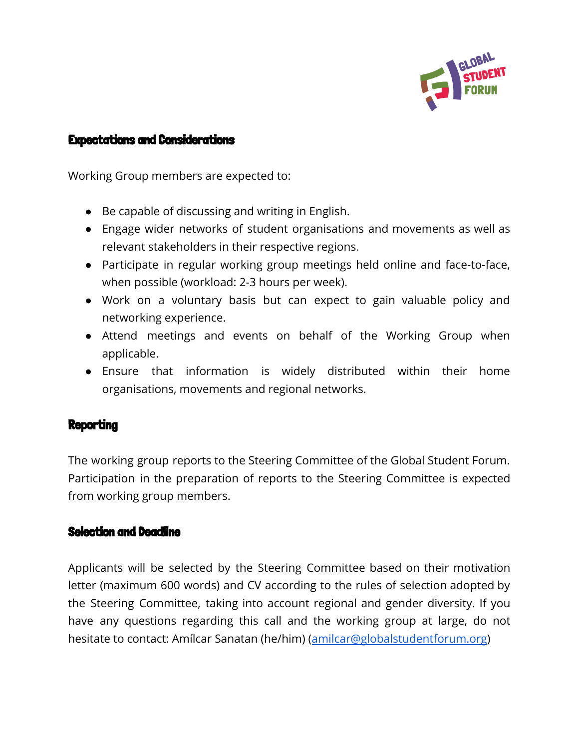

#### Expectations and Considerations

Working Group members are expected to:

- Be capable of discussing and writing in English.
- Engage wider networks of student organisations and movements as well as relevant stakeholders in their respective regions.
- Participate in regular working group meetings held online and face-to-face, when possible (workload: 2-3 hours per week).
- Work on a voluntary basis but can expect to gain valuable policy and networking experience.
- Attend meetings and events on behalf of the Working Group when applicable.
- Ensure that information is widely distributed within their home organisations, movements and regional networks.

#### **Reporting**

The working group reports to the Steering Committee of the Global Student Forum. Participation in the preparation of reports to the Steering Committee is expected from working group members.

#### Selection and Deadline

Applicants will be selected by the Steering Committee based on their motivation letter (maximum 600 words) and CV according to the rules of selection adopted by the Steering Committee, taking into account regional and gender diversity. If you have any questions regarding this call and the working group at large, do not hesitate to contact: Amílcar Sanatan (he/him) ([amilcar@globalstudentforum.org](mailto:amilcar@globalstudentforum.org))